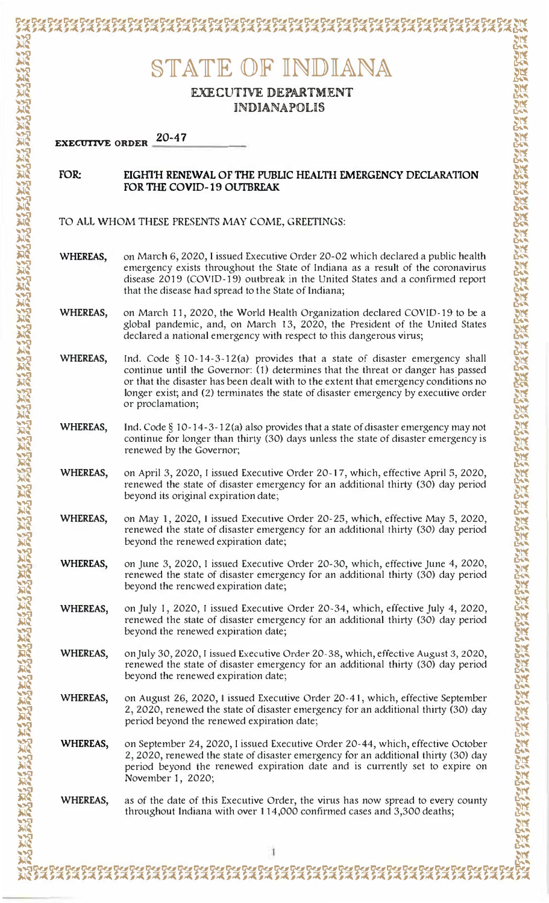## STATE OF INDIANA EXECUTIVE DEPARTMENT **INDIANAPOLIS**  $20 - 47$ EXECUTIVE ORDER FOR: EIGHTH RENEWAL OF THE PUBLIC HEALTH EMERGENCY DECLARATION **FOR THE COVID-19 OUTBREAK** TO ALL WHOM THESE PRESENTS MAY COME, GREETINGS: WHEREAS. on March 6, 2020, I issued Executive Order 20-02 which declared a public health emergency exists throughout the State of Indiana as a result of the coronavirus disease 2019 (COVID-19) outbreak in the United States and a confirmed report that the disease had spread to the State of Indiana; WHEREAS, on March 11, 2020, the World Health Organization declared COVID-19 to be a global pandemic, and, on March 13, 2020, the President of the United States declared a national emergency with respect to this dangerous virus; **WHEREAS.** Ind. Code  $\S 10-14-3-12(a)$  provides that a state of disaster emergency shall continue until the Governor: (1) determines that the threat or danger has passed or that the disaster has been dealt with to the extent that emergency conditions no longer exist; and (2) terminates the state of disaster emergency by executive order or proclamation; WHEREAS, Ind. Code  $\S$  10-14-3-12(a) also provides that a state of disaster emergency may not continue for longer than thirty (30) days unless the state of disaster emergency is renewed by the Governor; WHEREAS, on April 3, 2020, I issued Executive Order 20-17, which, effective April 5, 2020, renewed the state of disaster emergency for an additional thirty (30) day period beyond its original expiration date;

WHEREAS, on May 1, 2020, I issued Executive Order 20-25, which, effective May 5, 2020, renewed the state of disaster emergency for an additional thirty (30) day period beyond the renewed expiration date;

WHEREAS, on June 3, 2020, I issued Executive Order 20-30, which, effective June 4, 2020, renewed the state of disaster emergency for an additional thirty (30) day period beyond the rencwed expiration date;

WHEREAS. on July 1, 2020, I issued Executive Order 20-34, which, effective July 4, 2020, renewed the state of disaster emergency for an additional thirty (30) day period beyond the renewed expiration date;

on July 30, 2020, I issued Executive Order 20-38, which, effective August 3, 2020, WHEREAS. renewed the state of disaster emergency for an additional thirty (30) day period beyond the renewed expiration date;

WHEREAS. on August 26, 2020, I issued Executive Order 20-41, which, effective September 2, 2020, renewed the state of disaster emergency for an additional thirty (30) day period beyond the renewed expiration date;

WHEREAS, on September 24, 2020, I issued Executive Order 20-44, which, effective October 2, 2020, renewed the state of disaster emergency for an additional thirty (30) day period beyond the renewed expiration date and is currently set to expire on November 1, 2020;

WHEREAS, as of the date of this Executive Order, the virus has now spread to every county throughout Indiana with over 114,000 confirmed cases and 3,300 deaths;